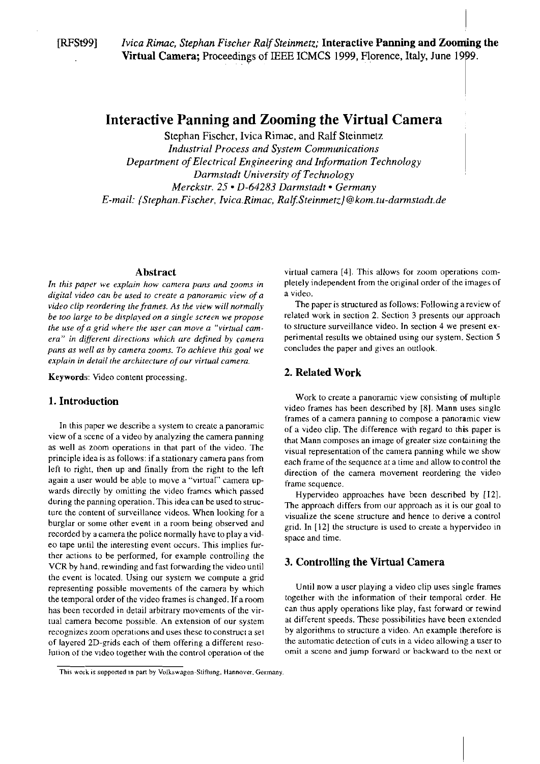**[RFSt99]** *Ivica Rimac, Stephan Fischer Ralf Steinmetz; Interactive Panning and Zooming the* **Virtual Camera;** Proceedings of **IEEE** ICMCS 1999, Florence, Italy, June 1919.

# **Interactive Panning and Zooming the Virtual Camera**

Stephan Fischer, Ivica Rimac, and Ralf Steinmetz

**Industrial Process and System Communications** *Departrnent of Electrical Engineering und Information Technology Darmstadt University of Technology Merckstr.* 25 • D-64283 Darmstadt • Germany *E-mail: (Stephan.Fischer, Ivica.Rimac,* **Ra&Steinmetr)@kom.tu-darmstudt.de** 

#### **Abstract**

In this paper we explain how camera pans and zooms in *digital video can be used to create o panoramic view of a video clip reordering the frames. As the view will normally be too /arge to be displa?ed on a single screen we propose the use of a grid where the user can move a "virtual cam*era" in different directions which are defined by camera *pans as well as by camerri zooms. To achieve this goal we explain in detail the architecture of our virtual camera.* 

**Keywordzi:** Video content processing.

#### **1. Introduction**

In this paper we describe a system to create a panoramic view of a scene of a video by analyzing the camera panning as well as zoom operations in that part of ihe video. The principle idea is as follows: if a stationary camera pans from left to right, then up and finally from the right to the left again a user would be able to move a "virtual" camera upwards directly by omitting the video frames which passed during the panning operation. This idea can be used to structure the content of surveillance videos. When looking for a burglar or some other event in a room being observed and recorded by acamera the police normally have to play a video tape until the interesting event occurs. This implies further actions to be performed, for example controlling the VCR by hand, rewinding and fast forwarding the video until the event is located. Using our sysiem we compute a grid representing possible movements of ihe camera by which the temporal order of the video frames is changed. If aroom has been recorded in detail arbitrary movements of the virtual camera become possible. An extension of our system recognizes zoom operations and uses these to construct a set of layered 2D-grids each of them offering a different resolution of the video together with the control operation of the

virtual camera [4]. This allows for zoom operations completely independent from the original order of the images of a video.

The paper is sttuctured as follows: Following areview of related work in section 2. Section 3 presents our approach to structure surveillance video. In seciion 4 we present experimental results we obtained using our system. Section 5 concludes the paper and gives an outlook.

#### **2. Related Work**

Work to create a panoramic view consisting of multiple video frames has been described by 181. Mann uses single frames of a camera panning to compose a panoramic view of a video clip. The difference with regard to this paper is that Mann composes an image of greater size containing the visual representation of the camera panning while we show each frame of the sequence at a time and allow to control the direction of the camera movement reordering the video frame sequence.

Hypervideo approaches have been described by 1121. The approach differs from our approach as it is our goal to visualize the scene structure and hence io derive a control grid. In [12] the structure is used to create a hypervideo in space and time.

## **3. Controlling the Virtual Camera**

Until now a user playing a video clip uses single frames togeiher with the information of their temporal order. He can thus apply operations like play, fast forward or rewind at different speeds. These possibiliiies have been extended by algorithms to structure a video. An example therefore is the automatic detection of cuts in a video allowing a user to omit a scene and jump forward or backward to the next or

This work is supported in part by Volkswagen-Stiftung, Hannover, Germany.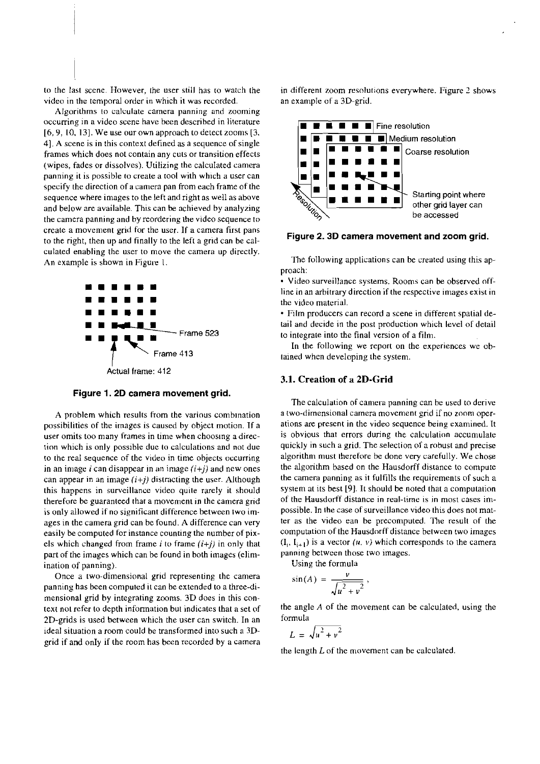to the last scene. However, the User still has to watch the video in the temporal order in which it was recorded.

Algorithms to calculate camera panning and zooming occurring in a video scene have been described in literature  $[6, 9, 10, 13]$ . We use our own approach to detect zooms  $[3, 10, 13]$ 41. A scene is in this context defined **as** a sequence of single frames which does not contain any cuts or transition effects (wipes, fades or dissolves). Utilizing the calculated camera panning it is possible to create a tool with which a user can specify the direction of a camera pan from each frame of the sequence where images to the left and right as well as above and below are available. This can **be** achieved by analyring the camera panning and by reordering the video sequence to create a movement grid for the user. If a camera first pans to the right, then up and finally to the left a grid can be calculated enabling the user to move the camera up directly. An example is shown in Figure 1.



**Figure 1.2D camera movement grid.** 

A problem which results from the various combination possibilities of the images is caused by object motion. If a user omits too many frames in time when choosing a direction which is only possible due to calculations and not due to ihe real sequence of the video in time objects occurring in an image *i* can disappear in an image  $(i+j)$  and new ones can appear in an image  $(i+j)$  distracting the user. Although this happens in surveillance video quiie rarely it should therefore be guaranteed that a movement in the camera grid is only allowed if no significant difference between two images in the camera grid can be found. A difference can very easily be computed for instance counting the number of pixels which changed from frame *i* to frame  $(i+j)$  in only that part of the images which can be found in both images (elimination of panning).

Once a two-dimensional grid representing the camera panning has been compuied it can be extended to a three-dimensional grid by integraiing Zooms. 3D does in this context not refer to depth information bui indicates that a set of 2D-grids is used between which the user can switch. In an ideal situation a room could be transformed into such **a** 3Dgrid if and onIy if the room has been recorded by a camera in different zoom resolutions everywhere. Figure Z shows an example of a 3D-grid.



**Figure 2.3D camera movement and Zoom grid.** 

The following applications can be created using this approach:

Video surveillance Systems. Rooms can **be** observed offline in an arbitrary direction if the respective images exist in the video material.

Film producers can record a scene in different spatial detail and decide in the post production which level of detail to integrate into the final version of a film.

In the following we report on the experiences we obtained when developing the system.

#### **3.1. Creation of a 2D-Grid**

The calculation of camera panning can be used to derive a two-dimensional camera movement grid if no zoom operations are present in the video sequence being cxamined. It is obvious that errors during the calculation accumulaie quickly in such a grid. The selection of a robust and precise algorithm must therefore be done very carefully. We chose the algorithm based on the Hausdorff distance to compute the camera panning as it fulfills the requirements of such a system at its best  $[9]$ . It should be noted that a computation of the Hausdorff distance in real-time is in most cases impossible. In the case of surveillance video this does not matter as the video ean be precomputed. The result of the computation of the Hausdorff distance between two images  $(I_i, I_{i+1})$  is a vector  $(u, v)$  which corresponds to the camera panning between those two images.

Using the formula

$$
\sin(A) = \frac{\nu}{\sqrt{u^2 + \nu^2}}\,,
$$

the angle **A** of the movement can be calculated, using the formula

$$
L = \sqrt{u^2 + v^2}
$$

the length  $L$  of the movement can be calculated.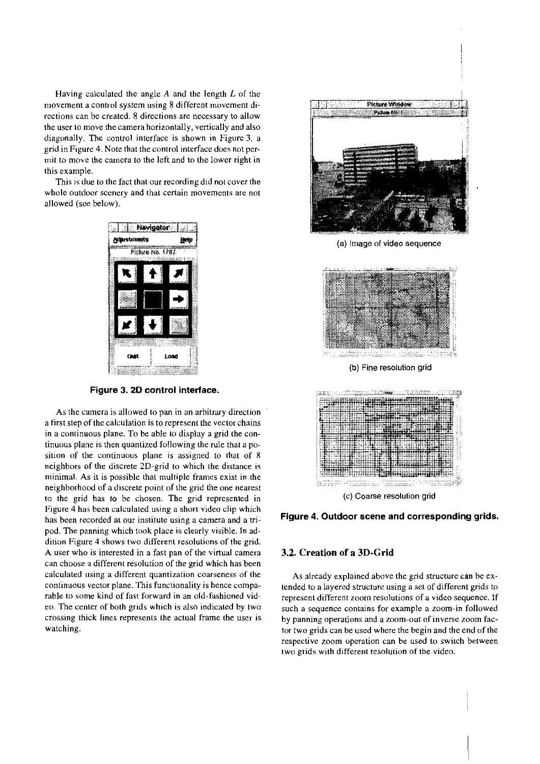Having calculated the angle **A** and the length L of the movement a control system using 8 different movement directions can be created. 8 directions are necessary to allow the user to move the camera horizontally, vertically and also diagonally. The control interface is shown in Figure **3.** a grid in Figure 4. Note that the control interface does not permit to mobe the camera to the left and to the lower right in this example.

This is due to the fact that our recording did notcover the whole outdoor scenery and that certain movements are not allowed (see below).



**Figure 3.20 control interface.** 

As the camera is allowed io pan in an arbitrary direction a first step of the calculation is to represent the vector chains in a continuous plane. To be able to display a grid the continuous plane is then quantized following the rule that a position of the continuous plane is assigned to ihat of **8**  neighbors of the discrete ?D-grid to which the distance is minimal. As it is possible that multiple frames exist in the neighborhood of adiscrete point of the gnd the one nearest to the grid has to bc chosen. The grid represented in Figure 4 has been calculated using a short video clip which has been recorded at our institute using a camera and a tripod. The panning which took place is clearly visible. In addition Figure 4 shows two different resolutions of the grid. A User who is interested in a fast pan of the virtual camera can choose **a** different resolution of the grid which has been calculated using a different quantization coarseness of the continuous vector plane. This functionality is hence comparable to some kind of fast forward in an old-fashioned video. The Center of both grids which is also indicated by two crossing thick lines represents the actual frame the user is watching.



(a) Image of video sequence



(b) Fine resolution grid



(c) Coarse resolution grid

**Figure 4. Outdoor scene and corresponding grids.** 

#### **3.2. Creation of a 3D-Grid**

As already explained above the grid structure can be extended to alayered structure using a Set of different grids ro represent different zoom resolutions of a video sequence. If such a sequence contains for example a zoom-in followed by panning operations and a zoom-out of inverse zoom factor two grids can he used where the begin and the end of the respective zoom operation can be used to switch between two giids with different resolution of the video.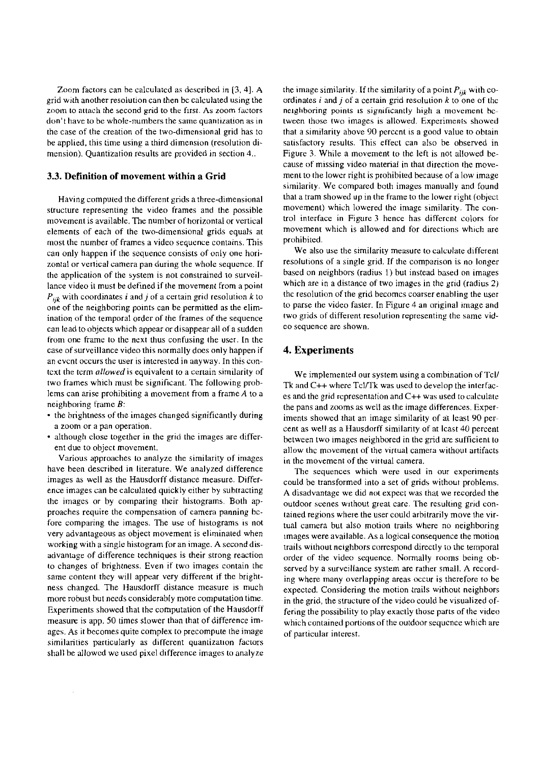Zoom factors can be calculatcd as described in **[3,** 41. A grid with another resolution can then bc calculated using the zoom to attach the second grid to the first. As zoom factors don't have to be whole-numbers the same quantization as in the case of the creation of the two-dimensional grid has ta he applied, this time using a third dimension (resolution dimension). Quantization results are provided in section 4..

#### **3.3. Definition of movement within a Grid**

Having computed the different grids a three-dimensional structure representing the video frames and the possible movement is available. The numher of horizontal or vertical elements of each of the two-dimensional grids equals at most the number of frames a video sequence contains. This can only happen if the sequence consists of only one horizontal or vertical camera pan during the whole sequence. If the applicalion of the system is not constrained to surveillance video it must be defined if the movement from a point  $P_{ijk}$  with coordinates *i* and *j* of a certain grid resolution *k* to one of the neighboring points can be permitted as the elimination of the temporal order of the frames of the sequence can lead to objects which appear or disappear all of a sudden from one frame to the next thus confusing the user. In the case of surveillance video this normally does only happen if an evcnt occurs the user is interested in anyway. In this contcxt the tcrm *alluwed* is equivalent to a certain similarity of two frames which must be significant. The following problems can arise prohihiting a movement from a frame **A** to a neighboring frame B:

- the brightness of the images changed significantly during a Zoom or a pan operation.
- although close together in the grid the images are different due to object movement.

Various approaches to analyze the similarity of images have been described in literature. We analyzed difference images as well as the Hausdorff distance measure. Difference images can be calculated quickly either by subtracting the images or hy comparing their histograms. Both approaches require the compensation of camera panning bcfore comparing the images. The use of histograms is not very advantageous as object movement is eliminated when working with a single histogram for an image. **A** second disadvantage of difference techniques is their strong reaction to changes of brightness. Even if two images contain the same content they will appear very different if the brightness changed. The Hausdorff distance measure is much more robust but needs considerably more computation time. Experiments showed that ihe computation of the Hausdorff measure is app. 50 times slower than that of difference images. As it becomes quite complex to precompute the image similarities particularly as different quantization factors shall be allowed we used pixel difference images to analyze the image similarity. If the similarity of a point  $P_{ijk}$  with coordinates  $i$  and  $j$  of a certain grid resolution  $k$  to one of the neighboring points is significantly high a movement bctween those two images is allowed. Experiments showed that a similarity ahove 90 perccnt is a good value to obtain satisfactory results. This effect can also be observed in Figure **3.** While a movement to the left is not allowed because of missing video material in that direction the movcment to the lower right is prohibited because of a low image similarity. We compared both images manually and found that a tram showed up in the frame to the lower right (object movement) which lowered the image similarity. The control interface in Figure **3** hence has different colors for movement which is allowed and for directions which are prohibited.

We also use the similarity measure to calculate different resolutions of a single grid. If the comparison is no longer hased on neighhors (radius **1)** hut instead based on images which are in a distance of two images in the grid (radius 2) the resolution of the grid becomes coarser enabling the user to parse the video faster. In Figure 4 an original image and two grids of different resolution representing the same video sequence are shown.

#### **4. Experiments**

We implemented our system using a combination of Tcl/ Tk and C++ where Tcl/Tk was used to develop the interfaces and the grid rcpresentation and C++ was used iocalculate the pans and zooms as well as the image differences. Experiments showed that an image similarity of at least 90 per-Cent as weil as a Hausdorff similarity of at least 40 percent hetween two Images neighhored in the grid are sufficieni to allow thc movement of the virtual camera without artifacts in the movement of the virtual camera.

The sequences which were used in our experiments could be transformed into a set of grids without problems. A disadvantage we did not expect was that we recorded the outdoor scenes without great care. The resulting grid contained regions where the user could arbitrarily move the virtual camera hut also motion trails where no neighboring images were available. As a logical consequence the motion trails without neighbors correspond directly to the temporal order of the video sequence. Nonnally rooms heing observed by a surveillance system are rather small. A recording where many overlapping areas occur is therefore to be expected. Considering the motion trails without neighbors in the grid, the structure of the video could be visualized offering the possibility to play exactly those parts of the video which contained portions of the outdoor sequcnce which are of particular interest.